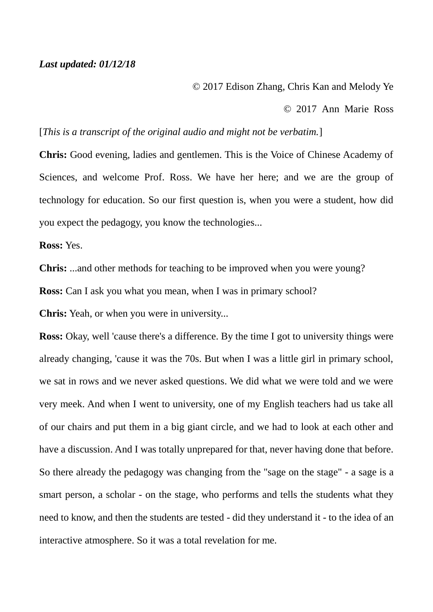## *Last updated: 01/12/18*

## © 2017 Edison Zhang, Chris Kan and Melody Ye

© 2017 Ann Marie Ross

## [*This is a transcript of the original audio and might not be verbatim.*]

**Chris:** Good evening, ladies and gentlemen. This is the Voice of Chinese Academy of Sciences, and welcome Prof. Ross. We have her here; and we are the group of technology for education. So our first question is, when you were a student, how did you expect the pedagogy, you know the technologies...

**Ross:** Yes.

**Chris:** ...and other methods for teaching to be improved when you were young?

**Ross:** Can I ask you what you mean, when I was in primary school?

**Chris:** Yeah, or when you were in university...

**Ross:** Okay, well 'cause there's a difference. By the time I got to university things were already changing, 'cause it was the 70s. But when I was a little girl in primary school, we sat in rows and we never asked questions. We did what we were told and we were very meek. And when I went to university, one of my English teachers had us take all of our chairs and put them in a big giant circle, and we had to look at each other and have a discussion. And I was totally unprepared for that, never having done that before. So there already the pedagogy was changing from the "sage on the stage" - a sage is a smart person, a scholar - on the stage, who performs and tells the students what they need to know, and then the students are tested - did they understand it - to the idea of an interactive atmosphere. So it was a total revelation for me.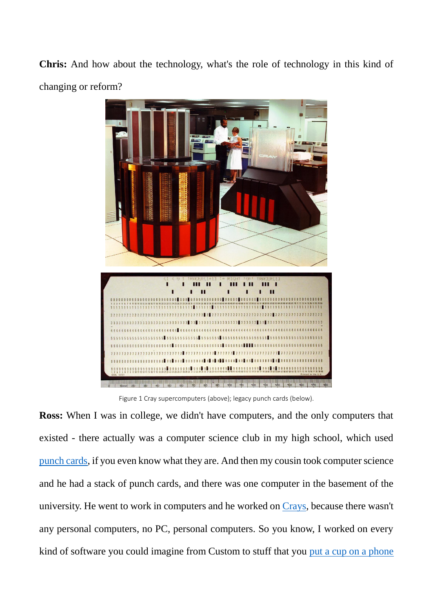**Chris:** And how about the technology, what's the role of technology in this kind of changing or reform?



Figure 1 Cray supercomputers (above); legacy punch cards (below).

**Ross:** When I was in college, we didn't have computers, and the only computers that existed - there actually was a computer science club in my high school, which used [punch cards,](https://en.wikipedia.org/wiki/Punched_card) if you even know what they are. And then my cousin took computer science and he had a stack of punch cards, and there was one computer in the basement of the university. He went to work in computers and he worked on [Crays,](https://en.wikipedia.org/wiki/Cray) because there wasn't any personal computers, no PC, personal computers. So you know, I worked on every kind of software you could imagine from Custom to stuff that you [put a cup on a phone](https://en.wikipedia.org/wiki/Acoustic_coupler)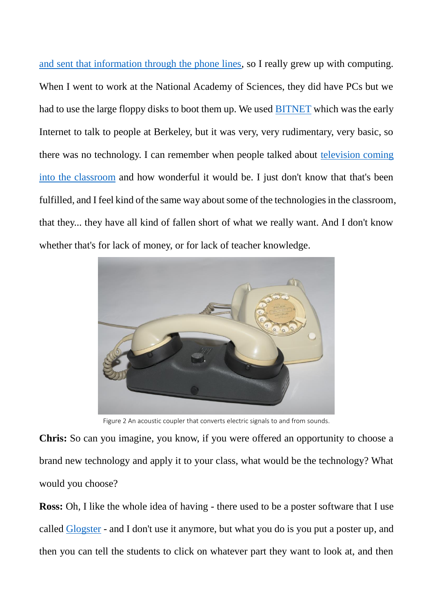[and sent that information through the phone lines,](https://en.wikipedia.org/wiki/Acoustic_coupler) so I really grew up with computing. When I went to work at the National Academy of Sciences, they did have PCs but we had to use the large floppy disks to boot them up. We used [BITNET](https://en.wikipedia.org/wiki/BITNET) which was the early Internet to talk to people at Berkeley, but it was very, very rudimentary, very basic, so there was no technology. I can remember when people talked about [television coming](https://pastdaily.com/2017/11/13/tv-classrooms-1957-past-daily/)  [into the classroom](https://pastdaily.com/2017/11/13/tv-classrooms-1957-past-daily/) and how wonderful it would be. I just don't know that that's been fulfilled, and I feel kind of the same way about some of the technologies in the classroom, that they... they have all kind of fallen short of what we really want. And I don't know whether that's for lack of money, or for lack of teacher knowledge.



Figure 2 An acoustic coupler that converts electric signals to and from sounds.

**Chris:** So can you imagine, you know, if you were offered an opportunity to choose a brand new technology and apply it to your class, what would be the technology? What would you choose?

**Ross:** Oh, I like the whole idea of having - there used to be a poster software that I use called [Glogster](https://en.wikipedia.org/wiki/Glogster) - and I don't use it anymore, but what you do is you put a poster up, and then you can tell the students to click on whatever part they want to look at, and then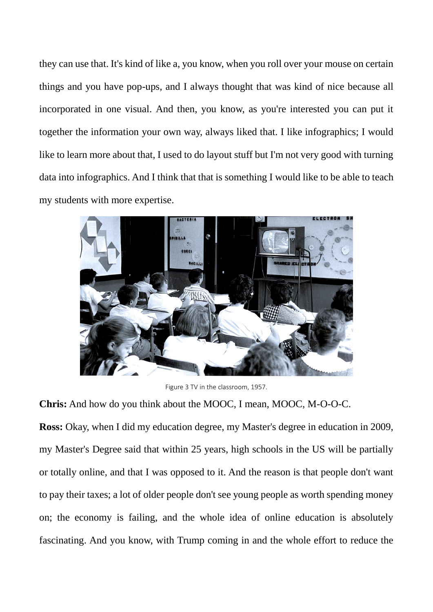they can use that. It's kind of like a, you know, when you roll over your mouse on certain things and you have pop-ups, and I always thought that was kind of nice because all incorporated in one visual. And then, you know, as you're interested you can put it together the information your own way, always liked that. I like infographics; I would like to learn more about that, I used to do layout stuff but I'm not very good with turning data into infographics. And I think that that is something I would like to be able to teach my students with more expertise.



Figure 3 TV in the classroom, 1957.

**Chris:** And how do you think about the MOOC, I mean, MOOC, M-O-O-C.

**Ross:** Okay, when I did my education degree, my Master's degree in education in 2009, my Master's Degree said that within 25 years, high schools in the US will be partially or totally online, and that I was opposed to it. And the reason is that people don't want to pay their taxes; a lot of older people don't see young people as worth spending money on; the economy is failing, and the whole idea of online education is absolutely fascinating. And you know, with Trump coming in and the whole effort to reduce the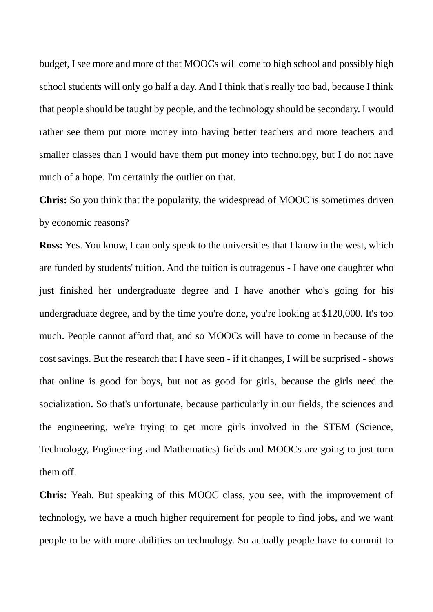budget, I see more and more of that MOOCs will come to high school and possibly high school students will only go half a day. And I think that's really too bad, because I think that people should be taught by people, and the technology should be secondary. I would rather see them put more money into having better teachers and more teachers and smaller classes than I would have them put money into technology, but I do not have much of a hope. I'm certainly the outlier on that.

**Chris:** So you think that the popularity, the widespread of MOOC is sometimes driven by economic reasons?

**Ross:** Yes. You know, I can only speak to the universities that I know in the west, which are funded by students' tuition. And the tuition is outrageous - I have one daughter who just finished her undergraduate degree and I have another who's going for his undergraduate degree, and by the time you're done, you're looking at \$120,000. It's too much. People cannot afford that, and so MOOCs will have to come in because of the cost savings. But the research that I have seen - if it changes, I will be surprised - shows that online is good for boys, but not as good for girls, because the girls need the socialization. So that's unfortunate, because particularly in our fields, the sciences and the engineering, we're trying to get more girls involved in the STEM (Science, Technology, Engineering and Mathematics) fields and MOOCs are going to just turn them off.

**Chris:** Yeah. But speaking of this MOOC class, you see, with the improvement of technology, we have a much higher requirement for people to find jobs, and we want people to be with more abilities on technology. So actually people have to commit to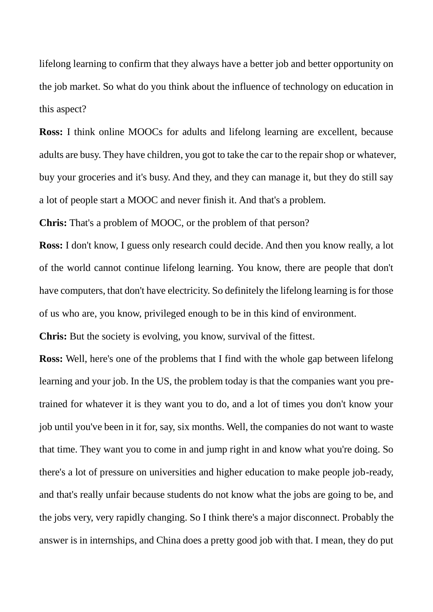lifelong learning to confirm that they always have a better job and better opportunity on the job market. So what do you think about the influence of technology on education in this aspect?

**Ross:** I think online MOOCs for adults and lifelong learning are excellent, because adults are busy. They have children, you got to take the car to the repair shop or whatever, buy your groceries and it's busy. And they, and they can manage it, but they do still say a lot of people start a MOOC and never finish it. And that's a problem.

**Chris:** That's a problem of MOOC, or the problem of that person?

**Ross:** I don't know, I guess only research could decide. And then you know really, a lot of the world cannot continue lifelong learning. You know, there are people that don't have computers, that don't have electricity. So definitely the lifelong learning is for those of us who are, you know, privileged enough to be in this kind of environment.

**Chris:** But the society is evolving, you know, survival of the fittest.

**Ross:** Well, here's one of the problems that I find with the whole gap between lifelong learning and your job. In the US, the problem today is that the companies want you pretrained for whatever it is they want you to do, and a lot of times you don't know your job until you've been in it for, say, six months. Well, the companies do not want to waste that time. They want you to come in and jump right in and know what you're doing. So there's a lot of pressure on universities and higher education to make people job-ready, and that's really unfair because students do not know what the jobs are going to be, and the jobs very, very rapidly changing. So I think there's a major disconnect. Probably the answer is in internships, and China does a pretty good job with that. I mean, they do put